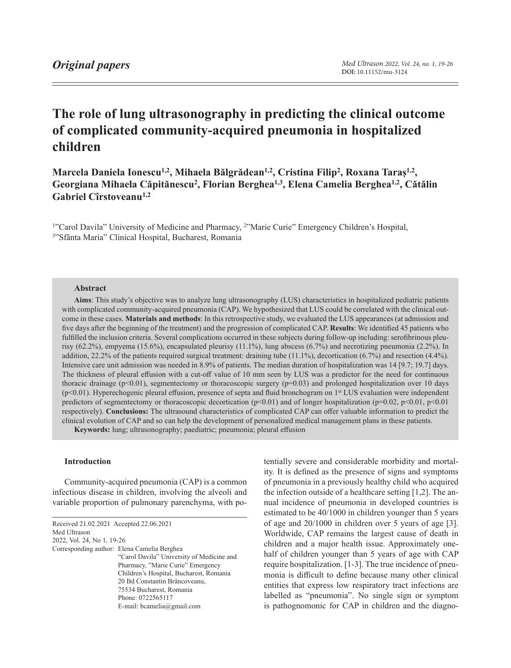# **The role of lung ultrasonography in predicting the clinical outcome of complicated community-acquired pneumonia in hospitalized children**

**Marcela Daniela Ionescu1,2, Mihaela Bălgrădean1,2, Cristina Filip2, Roxana Taraș1,2, Georgiana Mihaela Căpitănescu2, Florian Berghea1,3, Elena Camelia Berghea1,2, Cătălin Gabriel Cîrstoveanu1,2**

1"Carol Davila" University of Medicine and Pharmacy, 2"Marie Curie" Emergency Children's Hospital, 3"Sfânta Maria" Clinical Hospital, Bucharest, Romania

# **Abstract**

**Aims**: This study's objective was to analyze lung ultrasonography (LUS) characteristics in hospitalized pediatric patients with complicated community-acquired pneumonia (CAP). We hypothesized that LUS could be correlated with the clinical outcome in these cases. **Materials and methods**: In this retrospective study, we evaluated the LUS appearances (at admission and five days after the beginning of the treatment) and the progression of complicated CAP. **Results**: We identified 45 patients who fulfilled the inclusion criteria. Several complications occurred in these subjects during follow-up including: serofibrinous pleurisy (62.2%), empyema (15.6%), encapsulated pleurisy (11.1%), lung abscess (6.7%) and necrotizing pneumonia (2.2%). In addition, 22.2% of the patients required surgical treatment: draining tube (11.1%), decortication (6.7%) and resection (4.4%). Intensive care unit admission was needed in 8.9% of patients. The median duration of hospitalization was 14 [9.7; 19.7] days. The thickness of pleural effusion with a cut-off value of 10 mm seen by LUS was a predictor for the need for continuous thoracic drainage (p<0.01), segmentectomy or thoracoscopic surgery (p=0.03) and prolonged hospitalization over 10 days (p<0.01). Hyperechogenic pleural effusion, presence of septa and fluid bronchogram on 1st LUS evaluation were independent predictors of segmentectomy or thoracoscopic decortication ( $p<0.01$ ) and of longer hospitalization ( $p=0.02$ ,  $p<0.01$ ,  $p<0.01$ respectively). **Conclusions:** The ultrasound characteristics of complicated CAP can offer valuable information to predict the clinical evolution of CAP and so can help the development of personalized medical management plans in these patients.

**Keywords:** lung; ultrasonography; paediatric; pneumonia; pleural effusion

### **Introduction**

Community-acquired pneumonia (CAP) is a common infectious disease in children, involving the alveoli and variable proportion of pulmonary parenchyma, with po-

<span id="page-0-0"></span>

| Received 21.02.2021 Accepted 22.06.2021 |                                             |
|-----------------------------------------|---------------------------------------------|
| Med Ultrason                            |                                             |
| 2022, Vol. 24, No 1, 19-26              |                                             |
|                                         | Corresponding author: Elena Camelia Berghea |
|                                         | "Carol Davila" University of Medicine and   |
|                                         | Pharmacy, "Marie Curie" Emergency           |
|                                         | Children's Hospital, Bucharest, Romania     |
|                                         | 20 Bd Constantin Brâncoveanu,               |
|                                         | 75534 Bucharest, Romania                    |
|                                         | Phone: 0722565117                           |
|                                         | E-mail: bcamelia@gmail.com                  |
|                                         |                                             |

tentially severe and considerable morbidity and mortality. It is defined as the presence of signs and symptoms of pneumonia in a previously healthy child who acquired the infection outside of a healthcare setting [1,2]. The annual incidence of pneumonia in developed countries is estimated to be 40/1000 in children younger than 5 years of age and 20/1000 in children over 5 years of age [3]. Worldwide, CAP remains the largest cause of death in children and a major health issue. Approximately onehalf of children younger than 5 years of age with CAP require hospitalization. [1-3]. The true incidence of pneumonia is difficult to define because many other clinical entities that express low respiratory tract infections are labelled as "pneumonia". No single sign or symptom is pathognomonic for CAP in children and the diagno-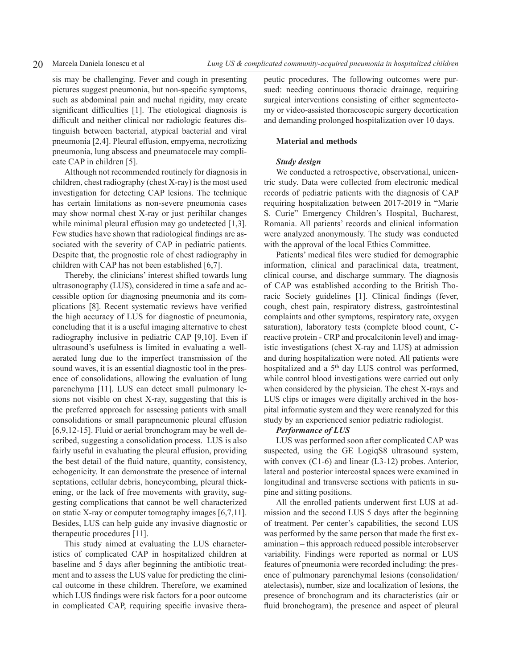sis may be challenging. Fever and cough in presenting pictures suggest pneumonia, but non-specific symptoms, such as abdominal pain and nuchal rigidity, may create significant difficulties [1]. The etiological diagnosis is difficult and neither clinical nor radiologic features distinguish between bacterial, atypical bacterial and viral pneumonia [2,4]. Pleural effusion, empyema, necrotizing pneumonia, lung abscess and pneumatocele may complicate CAP in children [5].

Although not recommended routinely for diagnosis in children, chest radiography (chest X-ray) is the most used investigation for detecting CAP lesions. The technique has certain limitations as non-severe pneumonia cases may show normal chest X-ray or just perihilar changes while minimal pleural effusion may go undetected [1,3]. Few studies have shown that radiological findings are associated with the severity of CAP in pediatric patients. Despite that, the prognostic role of chest radiography in children with CAP has not been established [6,7].

Thereby, the clinicians' interest shifted towards lung ultrasonography (LUS), considered in time a safe and accessible option for diagnosing pneumonia and its complications [8]. Recent systematic reviews have verified the high accuracy of LUS for diagnostic of pneumonia, concluding that it is a useful imaging alternative to chest radiography inclusive in pediatric CAP [9,10]. Even if ultrasound's usefulness is limited in evaluating a wellaerated lung due to the imperfect transmission of the sound waves, it is an essential diagnostic tool in the presence of consolidations, allowing the evaluation of lung parenchyma [11]. LUS can detect small pulmonary lesions not visible on chest X-ray, suggesting that this is the preferred approach for assessing patients with small consolidations or small parapneumonic pleural effusion [6,9,12-15]. Fluid or aerial bronchogram may be well described, suggesting a consolidation process. LUS is also fairly useful in evaluating the pleural effusion, providing the best detail of the fluid nature, quantity, consistency, echogenicity. It can demonstrate the presence of internal septations, cellular debris, honeycombing, pleural thickening, or the lack of free movements with gravity, suggesting complications that cannot be well characterized on static X-ray or computer tomography images [6,7,11]. Besides, LUS can help guide any invasive diagnostic or therapeutic procedures [11].

This study aimed at evaluating the LUS characteristics of complicated CAP in hospitalized children at baseline and 5 days after beginning the antibiotic treatment and to assess the LUS value for predicting the clinical outcome in these children. Therefore, we examined which LUS findings were risk factors for a poor outcome in complicated CAP, requiring specific invasive therapeutic procedures. The following outcomes were pursued: needing continuous thoracic drainage, requiring surgical interventions consisting of either segmentectomy or video-assisted thoracoscopic surgery decortication and demanding prolonged hospitalization over 10 days.

# **Material and methods**

# *Study design*

We conducted a retrospective, observational, unicentric study. Data were collected from electronic medical records of pediatric patients with the diagnosis of CAP requiring hospitalization between 2017-2019 in "Marie S. Curie" Emergency Children's Hospital, Bucharest, Romania. All patients' records and clinical information were analyzed anonymously. The study was conducted with the approval of the local Ethics Committee.

Patients' medical files were studied for demographic information, clinical and paraclinical data, treatment, clinical course, and discharge summary. The diagnosis of CAP was established according to the British Thoracic Society guidelines [1]. Clinical findings (fever, cough, chest pain, respiratory distress, gastrointestinal complaints and other symptoms, respiratory rate, oxygen saturation), laboratory tests (complete blood count, Creactive protein - CRP and procalcitonin level) and imagistic investigations (chest X-ray and LUS) at admission and during hospitalization were noted. All patients were hospitalized and a 5<sup>th</sup> day LUS control was performed, while control blood investigations were carried out only when considered by the physician. The chest X-rays and LUS clips or images were digitally archived in the hospital informatic system and they were reanalyzed for this study by an experienced senior pediatric radiologist.

# *Performance of LUS*

LUS was performed soon after complicated CAP was suspected, using the GE LogiqS8 ultrasound system, with convex (C1-6) and linear (L3-12) probes. Anterior, lateral and posterior intercostal spaces were examined in longitudinal and transverse sections with patients in supine and sitting positions.

All the enrolled patients underwent first LUS at admission and the second LUS 5 days after the beginning of treatment. Per center's capabilities, the second LUS was performed by the same person that made the first examination – this approach reduced possible interobserver variability. Findings were reported as normal or LUS features of pneumonia were recorded including: the presence of pulmonary parenchymal lesions (consolidation/ atelectasis), number, size and localization of lesions, the presence of bronchogram and its characteristics (air or fluid bronchogram), the presence and aspect of pleural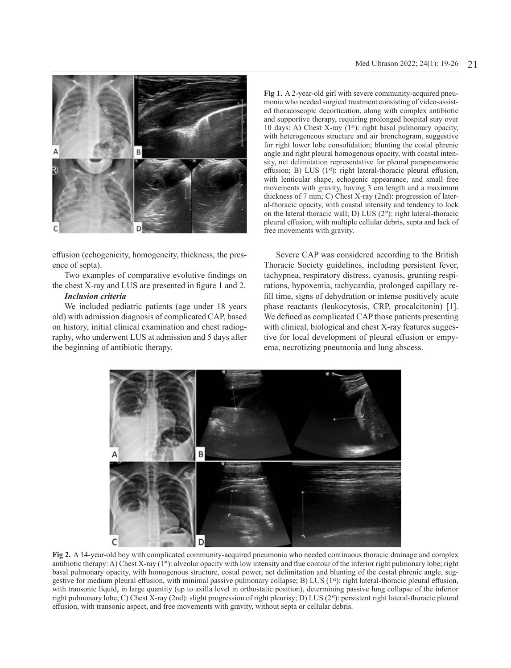

effusion (echogenicity, homogeneity, thickness, the presence of septa).

Two examples of comparative evolutive findings on the chest X-ray and LUS are presented in figure 1 and 2.

#### *Inclusion criteria*

We included pediatric patients (age under 18 years old) with admission diagnosis of complicated CAP, based on history, initial clinical examination and chest radiography, who underwent LUS at admission and 5 days after the beginning of antibiotic therapy.

**Fig 1.** A 2-year-old girl with severe community-acquired pneumonia who needed surgical treatment consisting of video-assisted thoracoscopic decortication, along with complex antibiotic and supportive therapy, requiring prolonged hospital stay over 10 days: A) Chest X-ray  $(1<sup>st</sup>)$ : right basal pulmonary opacity, with heterogeneous structure and air bronchogram, suggestive for right lower lobe consolidation; blunting the costal phrenic angle and right pleural homogenous opacity, with coastal intensity, net delimitation representative for pleural parapneumonic effusion; B) LUS (1<sup>st</sup>): right lateral-thoracic pleural effusion, with lenticular shape, echogenic appearance, and small free movements with gravity, having 3 cm length and a maximum thickness of 7 mm; C) Chest X-ray (2nd): progression of lateral-thoracic opacity, with coastal intensity and tendency to lock on the lateral thoracic wall; D) LUS (2st): right lateral-thoracic pleural effusion, with multiple cellular debris, septa and lack of free movements with gravity.

Severe CAP was considered according to the British Thoracic Society guidelines, including persistent fever, tachypnea, respiratory distress, cyanosis, grunting respirations, hypoxemia, tachycardia, prolonged capillary refill time, signs of dehydration or intense positively acute phase reactants (leukocytosis, CRP, procalcitonin) [1]. We defined as complicated CAP those patients presenting with clinical, biological and chest X-ray features suggestive for local development of pleural effusion or empyema, necrotizing pneumonia and lung abscess.



**Fig 2.** A 14-year-old boy with complicated community-acquired pneumonia who needed continuous thoracic drainage and complex antibiotic therapy: A) Chest X-ray (1st): alveolar opacity with low intensity and flue contour of the inferior right pulmonary lobe; right basal pulmonary opacity, with homogenous structure, costal power, net delimitation and blunting of the costal phrenic angle, suggestive for medium pleural effusion, with minimal passive pulmonary collapse; B) LUS  $(1<sup>st</sup>)$ : right lateral-thoracic pleural effusion, with transonic liquid, in large quantity (up to axilla level in orthostatic position), determining passive lung collapse of the inferior right pulmonary lobe; C) Chest X-ray (2nd): slight progression of right pleurisy; D) LUS (2st): persistent right lateral-thoracic pleural effusion, with transonic aspect, and free movements with gravity, without septa or cellular debris.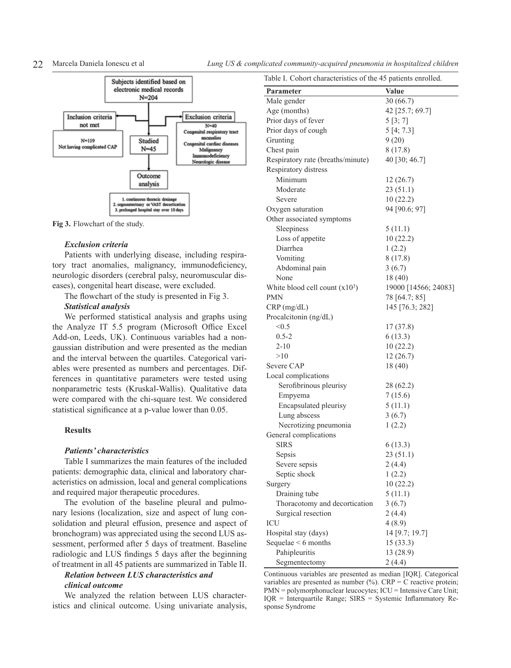

**Fig 3.** Flowchart of the study.

#### *Exclusion criteria*

Patients with underlying disease, including respiratory tract anomalies, malignancy, immunodeficiency, neurologic disorders (cerebral palsy, neuromuscular diseases), congenital heart disease, were excluded.

The flowchart of the study is presented in Fig 3.

#### *Statistical analysis*

We performed statistical analysis and graphs using the Analyze IT 5.5 program (Microsoft Office Excel Add-on, Leeds, UK). Continuous variables had a nongaussian distribution and were presented as the median and the interval between the quartiles. Categorical variables were presented as numbers and percentages. Differences in quantitative parameters were tested using nonparametric tests (Kruskal-Wallis). Qualitative data were compared with the chi-square test. We considered statistical significance at a p-value lower than 0.05.

# **Results**

# *Patients' characteristics*

Table I summarizes the main features of the included patients: demographic data, clinical and laboratory characteristics on admission, local and general complications and required major therapeutic procedures.

The evolution of the baseline pleural and pulmonary lesions (localization, size and aspect of lung consolidation and pleural effusion, presence and aspect of bronchogram) was appreciated using the second LUS assessment, performed after 5 days of treatment. Baseline radiologic and LUS findings 5 days after the beginning of treatment in all 45 patients are summarized in Table II.

# *Relation between LUS characteristics and clinical outcome*

We analyzed the relation between LUS characteristics and clinical outcome. Using univariate analysis,

22 Marcela Daniela Ionescu et al *Lung US & complicated community-acquired pneumonia in hospitalized children*

| Table I. Cohort characteristics of the 45 patients enrolled. |                      |  |  |
|--------------------------------------------------------------|----------------------|--|--|
| Parameter                                                    | Value                |  |  |
| Male gender                                                  | 30(66.7)             |  |  |
| Age (months)                                                 | 42 [25.7; 69.7]      |  |  |
| Prior days of fever                                          | 5[3; 7]              |  |  |
| Prior days of cough                                          | 5[4; 7.3]            |  |  |
| Grunting                                                     | 9(20)                |  |  |
| Chest pain                                                   | 8(17.8)              |  |  |
| Respiratory rate (breaths/minute)                            | 40 [30; 46.7]        |  |  |
| Respiratory distress                                         |                      |  |  |
| Minimum                                                      | 12(26.7)             |  |  |
| Moderate                                                     | 23(51.1)             |  |  |
| Severe                                                       | 10(22.2)             |  |  |
| Oxygen saturation                                            | 94 [90.6; 97]        |  |  |
| Other associated symptoms                                    |                      |  |  |
| Sleepiness                                                   | 5(11.1)              |  |  |
| Loss of appetite                                             | 10(22.2)             |  |  |
| Diarrhea                                                     | 1(2.2)               |  |  |
| Vomiting                                                     | 8(17.8)              |  |  |
| Abdominal pain                                               | 3(6.7)               |  |  |
| None                                                         | 18 (40)              |  |  |
| White blood cell count $(x10^3)$                             | 19000 [14566; 24083] |  |  |
| PMN                                                          | 78 [64.7; 85]        |  |  |
| CRP(mg/dL)                                                   | 145 [76.3; 282]      |  |  |
| Procalcitonin (ng/dL)                                        |                      |  |  |
| < 0.5                                                        | 17(37.8)             |  |  |
| $0.5 - 2$                                                    | 6(13.3)              |  |  |
| $2 - 10$                                                     | 10(22.2)             |  |  |
| >10                                                          | 12(26.7)             |  |  |
| Severe CAP                                                   | 18 (40)              |  |  |
| Local complications                                          |                      |  |  |
| Serofibrinous pleurisy                                       | 28 (62.2)            |  |  |
| Empyema                                                      | 7(15.6)              |  |  |
| Encapsulated pleurisy                                        | 5(11.1)              |  |  |
| Lung abscess                                                 | 3(6.7)               |  |  |
| Necrotizing pneumonia                                        | 1(2.2)               |  |  |
| General complications                                        |                      |  |  |
| SIRS                                                         | 6(13.3)              |  |  |
| Sepsis                                                       | 23 (51.1)            |  |  |
| Severe sepsis                                                | 2(4.4)               |  |  |
| Septic shock                                                 | 1(2.2)               |  |  |
| Surgery                                                      | 10(22.2)             |  |  |
| Draining tube                                                | 5(11.1)              |  |  |
| Thoracotomy and decortication                                | 3(6.7)               |  |  |
| Surgical resection                                           | 2(4.4)               |  |  |
| ICU                                                          | 4(8.9)               |  |  |
| Hospital stay (days)                                         | 14 [9.7; 19.7]       |  |  |
| Sequelae $< 6$ months                                        | 15(33.3)             |  |  |
| Pahipleuritis                                                | 13 (28.9)            |  |  |
| Segmentectomy                                                | 2(4.4)               |  |  |
|                                                              |                      |  |  |

Continuous variables are presented as median [IQR]. Categorical variables are presented as number  $(\%)$ . CRP = C reactive protein; PMN = polymorphonuclear leucocytes; ICU = Intensive Care Unit; IQR = Interquartile Range; SIRS = Systemic Inflammatory Response Syndrome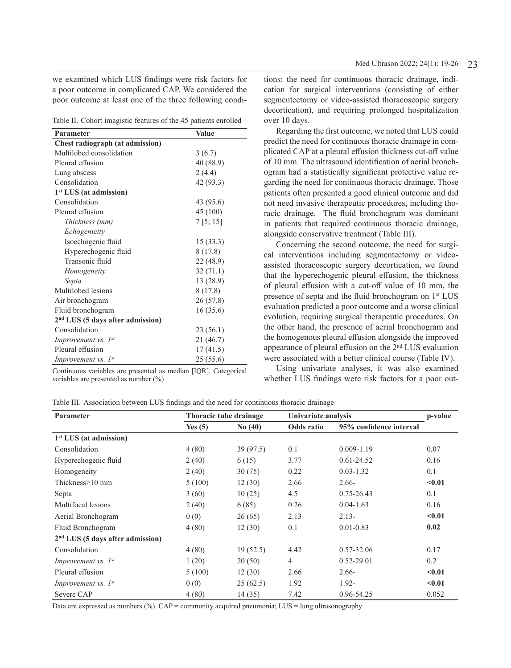we examined which LUS findings were risk factors for a poor outcome in complicated CAP. We considered the poor outcome at least one of the three following condi-

|  |  | Table II. Cohort imagistic features of the 45 patients enrolled |  |  |  |  |  |
|--|--|-----------------------------------------------------------------|--|--|--|--|--|
|--|--|-----------------------------------------------------------------|--|--|--|--|--|

| Parameter                          | Value     |
|------------------------------------|-----------|
| Chest radiograph (at admission)    |           |
| Multilobed consolidation           | 3(6.7)    |
| Pleural effusion                   | 40 (88.9) |
| Lung abscess                       | 2(4.4)    |
| Consolidation                      | 42 (93.3) |
| $1st LUS$ (at admission)           |           |
| Consolidation                      | 43 (95.6) |
| Pleural effusion                   | 45 (100)  |
| Thickness (mm)                     | 7[5; 15]  |
| Echogenicity                       |           |
| Isoechogenic fluid                 | 15(33.3)  |
| Hyperechogenic fluid               | 8 (17.8)  |
| Transonic fluid                    | 22 (48.9) |
| Homogeneity                        | 32(71.1)  |
| Septa                              | 13 (28.9) |
| Multilobed lesions                 | 8 (17.8)  |
| Air bronchogram                    | 26 (57.8) |
| Fluid bronchogram                  | 16(35.6)  |
| $2nd LUS$ (5 days after admission) |           |
| Consolidation                      | 23 (56.1) |
| Improvement vs. 1st                | 21 (46.7) |
| Pleural effusion                   | 17(41.5)  |
| Improvement vs. 1st                | 25 (55.6) |

Continuous variables are presented as median [IQR]. Categorical variables are presented as number (%)

tions: the need for continuous thoracic drainage, indication for surgical interventions (consisting of either segmentectomy or video-assisted thoracoscopic surgery decortication), and requiring prolonged hospitalization over 10 days.

Regarding the first outcome, we noted that LUS could predict the need for continuous thoracic drainage in complicated CAP at a pleural effusion thickness cut-off value of 10 mm. The ultrasound identification of aerial bronchogram had a statistically significant protective value regarding the need for continuous thoracic drainage. Those patients often presented a good clinical outcome and did not need invasive therapeutic procedures, including thoracic drainage. The fluid bronchogram was dominant in patients that required continuous thoracic drainage, alongside conservative treatment (Table III).

Concerning the second outcome, the need for surgical interventions including segmentectomy or videoassisted thoracoscopic surgery decortication, we found that the hyperechogenic pleural effusion, the thickness of pleural effusion with a cut-off value of 10 mm, the presence of septa and the fluid bronchogram on 1<sup>st</sup> LUS evaluation predicted a poor outcome and a worse clinical evolution, requiring surgical therapeutic procedures. On the other hand, the presence of aerial bronchogram and the homogenous pleural effusion alongside the improved appearance of pleural effusion on the 2nd LUS evaluation were associated with a better clinical course (Table IV).

Using univariate analyses, it was also examined whether LUS findings were risk factors for a poor out-

Table III. Association between LUS findings and the need for continuous thoracic drainage

| Parameter                          | Thoracic tube drainage |          | Univariate analysis |                         | p-value |
|------------------------------------|------------------------|----------|---------------------|-------------------------|---------|
|                                    | Yes $(5)$              | No(40)   | Odds ratio          | 95% confidence interval |         |
| 1 <sup>st</sup> LUS (at admission) |                        |          |                     |                         |         |
| Consolidation                      | 4(80)                  | 39(97.5) | 0.1                 | $0.009 - 1.19$          | 0.07    |
| Hyperechogenic fluid               | 2(40)                  | 6(15)    | 3.77                | $0.61 - 24.52$          | 0.16    |
| Homogeneity                        | 2(40)                  | 30(75)   | 0.22                | $0.03 - 1.32$           | 0.1     |
| Thickness>10 mm                    | 5(100)                 | 12(30)   | 2.66                | $2.66-$                 | < 0.01  |
| Septa                              | 3(60)                  | 10(25)   | 4.5                 | $0.75 - 26.43$          | 0.1     |
| Multifocal lesions                 | 2(40)                  | 6(85)    | 0.26                | $0.04 - 1.63$           | 0.16    |
| Aerial Bronchogram                 | 0(0)                   | 26(65)   | 2.13                | $2.13-$                 | < 0.01  |
| Fluid Bronchogram                  | 4(80)                  | 12(30)   | 0.1                 | $0.01 - 0.83$           | 0.02    |
| $2nd LUS$ (5 days after admission) |                        |          |                     |                         |         |
| Consolidation                      | 4(80)                  | 19(52.5) | 4.42                | $0.57 - 32.06$          | 0.17    |
| <i>Improvement vs.</i> $I^{st}$    | 1(20)                  | 20(50)   | $\overline{4}$      | $0.52 - 29.01$          | 0.2     |
| Pleural effusion                   | 5(100)                 | 12(30)   | 2.66                | $2.66-$                 | < 0.01  |
| <i>Improvement vs.</i> $I^{st}$    | 0(0)                   | 25(62.5) | 1.92                | $1.92 -$                | $0.01$  |
| Severe CAP                         | 4(80)                  | 14(35)   | 7.42                | 0.96-54.25              | 0.052   |

Data are expressed as numbers (%).  $CAP =$  community acquired pneumonia;  $LUS =$  lung ultrasonography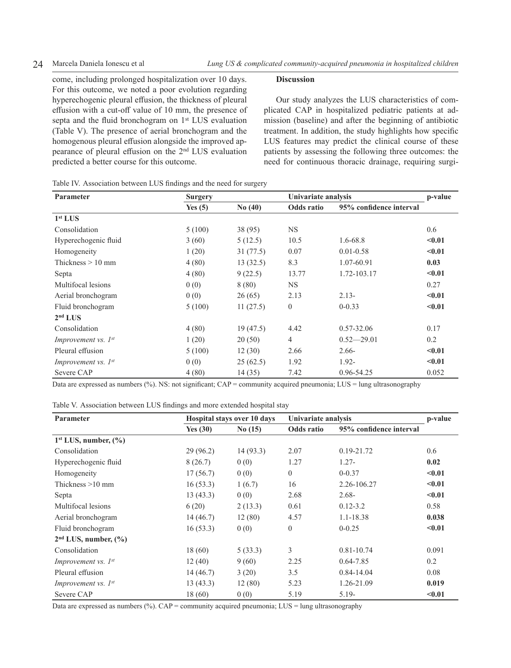come, including prolonged hospitalization over 10 days. For this outcome, we noted a poor evolution regarding hyperechogenic pleural effusion, the thickness of pleural effusion with a cut-off value of 10 mm, the presence of septa and the fluid bronchogram on 1<sup>st</sup> LUS evaluation (Table V). The presence of aerial bronchogram and the homogenous pleural effusion alongside the improved appearance of pleural effusion on the 2nd LUS evaluation predicted a better course for this outcome.

### **Discussion**

Our study analyzes the LUS characteristics of complicated CAP in hospitalized pediatric patients at admission (baseline) and after the beginning of antibiotic treatment. In addition, the study highlights how specific LUS features may predict the clinical course of these patients by assessing the following three outcomes: the need for continuous thoracic drainage, requiring surgi-

| Parameter                       | Surgery   |          | Univariate analysis |                         | p-value |
|---------------------------------|-----------|----------|---------------------|-------------------------|---------|
|                                 | Yes $(5)$ | No(40)   | Odds ratio          | 95% confidence interval |         |
| 1 <sup>st</sup> LUS             |           |          |                     |                         |         |
| Consolidation                   | 5(100)    | 38 (95)  | NS.                 |                         | 0.6     |
| Hyperechogenic fluid            | 3(60)     | 5(12.5)  | 10.5                | $1.6 - 68.8$            | $0.01$  |
| Homogeneity                     | 1(20)     | 31(77.5) | 0.07                | $0.01 - 0.58$           | < 0.01  |
| Thickness $> 10$ mm             | 4(80)     | 13(32.5) | 8.3                 | 1.07-60.91              | 0.03    |
| Septa                           | 4(80)     | 9(22.5)  | 13.77               | 1.72-103.17             | < 0.01  |
| Multifocal lesions              | 0(0)      | 8 (80)   | NS.                 |                         | 0.27    |
| Aerial bronchogram              | 0(0)      | 26(65)   | 2.13                | $2.13-$                 | $0.01$  |
| Fluid bronchogram               | 5(100)    | 11(27.5) | $\mathbf{0}$        | $0 - 0.33$              | < 0.01  |
| 2 <sup>nd</sup> LUS             |           |          |                     |                         |         |
| Consolidation                   | 4(80)     | 19(47.5) | 4.42                | $0.57 - 32.06$          | 0.17    |
| <i>Improvement</i> vs. $I^{st}$ | 1(20)     | 20(50)   | $\overline{4}$      | $0.52 - 29.01$          | 0.2     |
| Pleural effusion                | 5(100)    | 12(30)   | 2.66                | $2.66-$                 | $0.01$  |
| <i>Improvement vs.</i> $I^{st}$ | 0(0)      | 25(62.5) | 1.92                | $1.92 -$                | $0.01$  |
| Severe CAP                      | 4(80)     | 14(35)   | 7.42                | 0.96-54.25              | 0.052   |

Table IV. Association between LUS findings and the need for surgery

Data are expressed as numbers (%). NS: not significant; CAP = community acquired pneumonia; LUS = lung ultrasonography

| Table V. Association between LUS findings and more extended hospital stay |  |  |
|---------------------------------------------------------------------------|--|--|
|---------------------------------------------------------------------------|--|--|

| Parameter                           |            | Hospital stays over 10 days |            | Univariate analysis     |        |
|-------------------------------------|------------|-----------------------------|------------|-------------------------|--------|
|                                     | Yes $(30)$ | No(15)                      | Odds ratio | 95% confidence interval |        |
| $1st LUS$ , number, $(\% )$         |            |                             |            |                         |        |
| Consolidation                       | 29(96.2)   | 14(93.3)                    | 2.07       | $0.19 - 21.72$          | 0.6    |
| Hyperechogenic fluid                | 8(26.7)    | 0(0)                        | 1.27       | $1.27 -$                | 0.02   |
| Homogeneity                         | 17(56.7)   | 0(0)                        | $\Omega$   | $0 - 0.37$              | < 0.01 |
| Thickness $>10$ mm                  | 16(53.3)   | 1(6.7)                      | 16         | 2.26-106.27             | < 0.01 |
| Septa                               | 13(43.3)   | 0(0)                        | 2.68       | $2.68 -$                | $0.01$ |
| Multifocal lesions                  | 6(20)      | 2(13.3)                     | 0.61       | $0.12 - 3.2$            | 0.58   |
| Aerial bronchogram                  | 14(46.7)   | 12(80)                      | 4.57       | 1.1-18.38               | 0.038  |
| Fluid bronchogram                   | 16(53.3)   | 0(0)                        | $\theta$   | $0 - 0.25$              | < 0.01 |
| $2nd LUS$ , number, $(\frac{6}{6})$ |            |                             |            |                         |        |
| Consolidation                       | 18 (60)    | 5(33.3)                     | 3          | $0.81 - 10.74$          | 0.091  |
| <i>Improvement</i> vs. $I^{st}$     | 12(40)     | 9(60)                       | 2.25       | $0.64 - 7.85$           | 0.2    |
| Pleural effusion                    | 14(46.7)   | 3(20)                       | 3.5        | $0.84 - 14.04$          | 0.08   |
| <i>Improvement vs.</i> $I^{st}$     | 13(43.3)   | 12(80)                      | 5.23       | 1.26-21.09              | 0.019  |
| Severe CAP                          | 18 (60)    | 0(0)                        | 5.19       | $5.19-$                 | $0.01$ |

Data are expressed as numbers (%).  $CAP =$  community acquired pneumonia;  $LUS =$  lung ultrasonography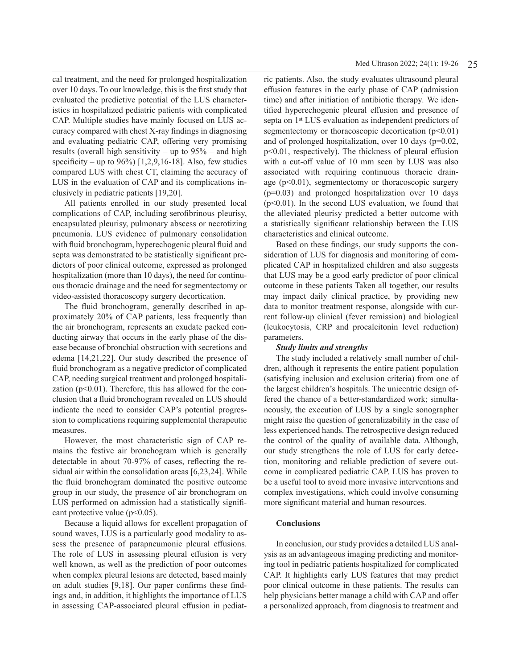cal treatment, and the need for prolonged hospitalization over 10 days. To our knowledge, this is the first study that evaluated the predictive potential of the LUS characteristics in hospitalized pediatric patients with complicated CAP. Multiple studies have mainly focused on LUS accuracy compared with chest X-ray findings in diagnosing and evaluating pediatric CAP, offering very promising results (overall high sensitivity – up to  $95\%$  – and high specificity – up to  $96\%$ ) [1,2,9,16-18]. Also, few studies compared LUS with chest CT, claiming the accuracy of LUS in the evaluation of CAP and its complications inclusively in pediatric patients [19,20].

All patients enrolled in our study presented local complications of CAP, including serofibrinous pleurisy, encapsulated pleurisy, pulmonary abscess or necrotizing pneumonia. LUS evidence of pulmonary consolidation with fluid bronchogram, hyperechogenic pleural fluid and septa was demonstrated to be statistically significant predictors of poor clinical outcome, expressed as prolonged hospitalization (more than 10 days), the need for continuous thoracic drainage and the need for segmentectomy or video-assisted thoracoscopy surgery decortication.

The fluid bronchogram, generally described in approximately 20% of CAP patients, less frequently than the air bronchogram, represents an exudate packed conducting airway that occurs in the early phase of the disease because of bronchial obstruction with secretions and edema [14,21,22]. Our study described the presence of fluid bronchogram as a negative predictor of complicated CAP, needing surgical treatment and prolonged hospitalization ( $p<0.01$ ). Therefore, this has allowed for the conclusion that a fluid bronchogram revealed on LUS should indicate the need to consider CAP's potential progression to complications requiring supplemental therapeutic measures.

However, the most characteristic sign of CAP remains the festive air bronchogram which is generally detectable in about 70-97% of cases, reflecting the residual air within the consolidation areas [6,23,24]. While the fluid bronchogram dominated the positive outcome group in our study, the presence of air bronchogram on LUS performed on admission had a statistically significant protective value ( $p<0.05$ ).

Because a liquid allows for excellent propagation of sound waves, LUS is a particularly good modality to assess the presence of parapneumonic pleural effusions. The role of LUS in assessing pleural effusion is very well known, as well as the prediction of poor outcomes when complex pleural lesions are detected, based mainly on adult studies [9,18]. Our paper confirms these findings and, in addition, it highlights the importance of LUS in assessing CAP-associated pleural effusion in pediatric patients. Also, the study evaluates ultrasound pleural effusion features in the early phase of CAP (admission time) and after initiation of antibiotic therapy*.* We identified hyperechogenic pleural effusion and presence of septa on 1<sup>st</sup> LUS evaluation as independent predictors of segmentectomy or thoracoscopic decortication  $(p<0.01)$ and of prolonged hospitalization, over 10 days (p=0.02, p<0.01, respectively). The thickness of pleural effusion with a cut-off value of 10 mm seen by LUS was also associated with requiring continuous thoracic drainage  $(p<0.01)$ , segmentectomy or thoracoscopic surgery (p=0.03) and prolonged hospitalization over 10 days  $(p<0.01)$ . In the second LUS evaluation, we found that the alleviated pleurisy predicted a better outcome with a statistically significant relationship between the LUS characteristics and clinical outcome.

Based on these findings, our study supports the consideration of LUS for diagnosis and monitoring of complicated CAP in hospitalized children and also suggests that LUS may be a good early predictor of poor clinical outcome in these patients Taken all together, our results may impact daily clinical practice, by providing new data to monitor treatment response, alongside with current follow-up clinical (fever remission) and biological (leukocytosis, CRP and procalcitonin level reduction) parameters.

### *Study limits and strengths*

The study included a relatively small number of children, although it represents the entire patient population (satisfying inclusion and exclusion criteria) from one of the largest children's hospitals. The unicentric design offered the chance of a better-standardized work; simultaneously, the execution of LUS by a single sonographer might raise the question of generalizability in the case of less experienced hands. The retrospective design reduced the control of the quality of available data. Although, our study strengthens the role of LUS for early detection, monitoring and reliable prediction of severe outcome in complicated pediatric CAP. LUS has proven to be a useful tool to avoid more invasive interventions and complex investigations, which could involve consuming more significant material and human resources.

# **Conclusions**

In conclusion, our study provides a detailed LUS analysis as an advantageous imaging predicting and monitoring tool in pediatric patients hospitalized for complicated CAP. It highlights early LUS features that may predict poor clinical outcome in these patients. The results can help physicians better manage a child with CAP and offer a personalized approach, from diagnosis to treatment and